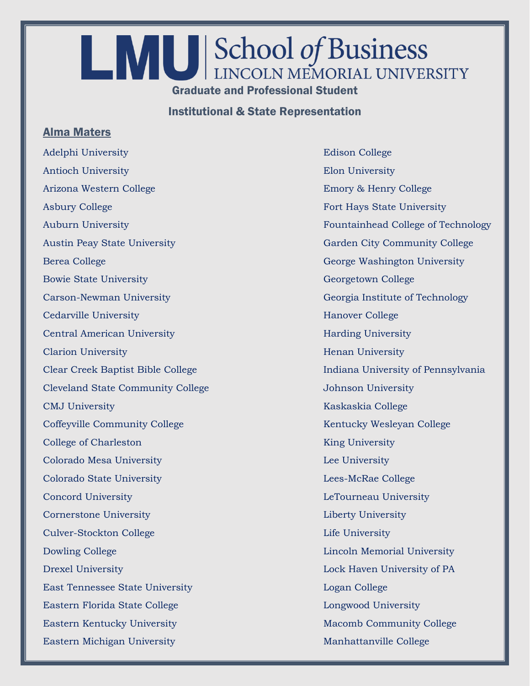## **LANUES** School of Business Graduate and Professional Student

Institutional & State Representation

## Alma Maters

Adelphi University **Edison College** Antioch University Elon University Arizona Western College **Emory & Henry College** Asbury College Fort Hays State University Austin Peay State University Garden City Community College Berea College George Washington University Bowie State University Georgetown College Carson-Newman University Georgia Institute of Technology Cedarville University **Hanover College** Hanover College Central American University **Harding University** Harding University **Clarion University Henan University Henan University** Cleveland State Community College Johnson University CMJ University Kaskaskia College Coffeyville Community College Kentucky Wesleyan College College of Charleston King University Colorado Mesa University Lee University Colorado State University Lees-McRae College Concord University LeTourneau University Cornerstone University Liberty University Culver-Stockton College Life University Dowling College **Lincoln Memorial University** Drexel University Lock Haven University of PA East Tennessee State University Logan College Eastern Florida State College Longwood University Eastern Kentucky University Macomb Community College Eastern Michigan University **Manhattanville College** 

Auburn University Fountainhead College of Technology Clear Creek Baptist Bible College Indiana University of Pennsylvania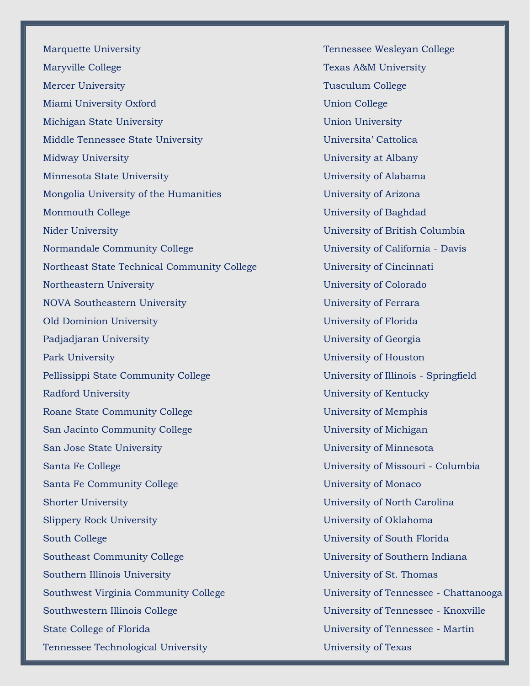Marquette University Tennessee Wesleyan College Maryville College Texas A&M University Mercer University Tusculum College Miami University Oxford Union College Michigan State University Union University Middle Tennessee State University Universita' Cattolica Midway University University at Albany Minnesota State University University of Alabama Mongolia University of the Humanities University of Arizona Monmouth College University of Baghdad Nider University University of British Columbia Normandale Community College University of California - Davis Northeast State Technical Community College University of Cincinnati Northeastern University University of Colorado NOVA Southeastern University University of Ferrara Old Dominion University University of Florida Padjadjaran University **Padjadjaran University** University of Georgia Park University **Park University Park University of Houston** Pellissippi State Community College University of Illinois - Springfield Radford University University of Kentucky Roane State Community College University of Memphis San Jacinto Community College University of Michigan San Jose State University University of Minnesota Santa Fe College University of Missouri - Columbia Santa Fe Community College University of Monaco Shorter University University of North Carolina Slippery Rock University **Example 2018** University of Oklahoma South College University of South Florida Southeast Community College University of Southern Indiana Southern Illinois University University of St. Thomas Southwest Virginia Community College University of Tennessee - Chattanooga Southwestern Illinois College University of Tennessee - Knoxville State College of Florida University of Tennessee - Martin Tennessee Technological University University of Texas